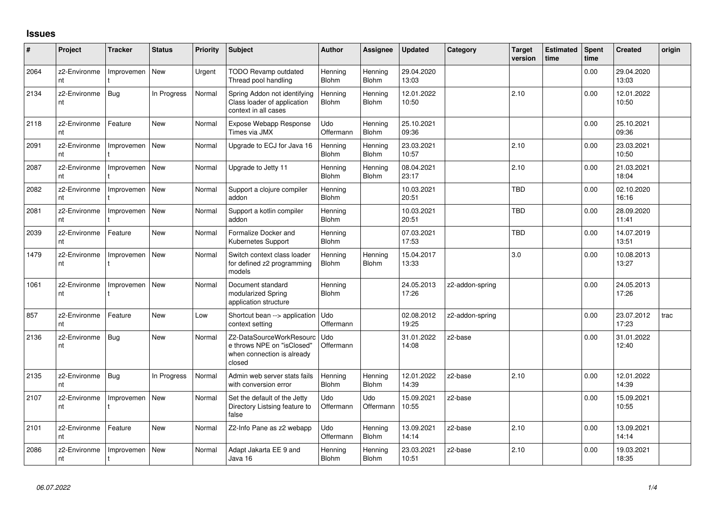## **Issues**

| #    | Project            | Tracker    | <b>Status</b> | <b>Priority</b> | <b>Subject</b>                                                                                 | <b>Author</b>           | Assignee                | <b>Updated</b>      | Category        | <b>Target</b><br>version | <b>Estimated</b><br>time | Spent<br>time | <b>Created</b>      | origin |
|------|--------------------|------------|---------------|-----------------|------------------------------------------------------------------------------------------------|-------------------------|-------------------------|---------------------|-----------------|--------------------------|--------------------------|---------------|---------------------|--------|
| 2064 | z2-Environme<br>nt | Improvemen | <b>New</b>    | Urgent          | <b>TODO Revamp outdated</b><br>Thread pool handling                                            | Henning<br><b>Blohm</b> | Hennina<br><b>Blohm</b> | 29.04.2020<br>13:03 |                 |                          |                          | 0.00          | 29.04.2020<br>13:03 |        |
| 2134 | z2-Environme<br>nt | Bug        | In Progress   | Normal          | Spring Addon not identifying<br>Class loader of application<br>context in all cases            | Henning<br>Blohm        | Henning<br><b>Blohm</b> | 12.01.2022<br>10:50 |                 | 2.10                     |                          | 0.00          | 12.01.2022<br>10:50 |        |
| 2118 | z2-Environme<br>nt | Feature    | <b>New</b>    | Normal          | Expose Webapp Response<br>Times via JMX                                                        | Udo<br>Offermann        | Hennina<br><b>Blohm</b> | 25.10.2021<br>09:36 |                 |                          |                          | 0.00          | 25.10.2021<br>09:36 |        |
| 2091 | z2-Environme<br>nt | Improvemen | <b>New</b>    | Normal          | Upgrade to ECJ for Java 16                                                                     | Henning<br><b>Blohm</b> | Hennina<br><b>Blohm</b> | 23.03.2021<br>10:57 |                 | 2.10                     |                          | 0.00          | 23.03.2021<br>10:50 |        |
| 2087 | z2-Environme<br>nt | Improvemen | New           | Normal          | Upgrade to Jetty 11                                                                            | Henning<br><b>Blohm</b> | Henning<br>Blohm        | 08.04.2021<br>23:17 |                 | 2.10                     |                          | 0.00          | 21.03.2021<br>18:04 |        |
| 2082 | z2-Environme<br>nt | Improvemen | New           | Normal          | Support a clojure compiler<br>addon                                                            | Henning<br><b>Blohm</b> |                         | 10.03.2021<br>20:51 |                 | <b>TBD</b>               |                          | 0.00          | 02.10.2020<br>16:16 |        |
| 2081 | z2-Environme<br>nt | Improvemen | New           | Normal          | Support a kotlin compiler<br>addon                                                             | Henning<br><b>Blohm</b> |                         | 10.03.2021<br>20:51 |                 | <b>TBD</b>               |                          | 0.00          | 28.09.2020<br>11:41 |        |
| 2039 | z2-Environme<br>nt | Feature    | <b>New</b>    | Normal          | Formalize Docker and<br>Kubernetes Support                                                     | Henning<br><b>Blohm</b> |                         | 07.03.2021<br>17:53 |                 | <b>TBD</b>               |                          | 0.00          | 14.07.2019<br>13:51 |        |
| 1479 | z2-Environme<br>nt | Improvemen | New           | Normal          | Switch context class loader<br>for defined z2 programming<br>models                            | Henning<br><b>Blohm</b> | Henning<br><b>Blohm</b> | 15.04.2017<br>13:33 |                 | 3.0                      |                          | 0.00          | 10.08.2013<br>13:27 |        |
| 1061 | z2-Environme<br>nt | Improvemen | New           | Normal          | Document standard<br>modularized Spring<br>application structure                               | Henning<br><b>Blohm</b> |                         | 24.05.2013<br>17:26 | z2-addon-spring |                          |                          | 0.00          | 24.05.2013<br>17:26 |        |
| 857  | z2-Environme<br>nt | Feature    | New           | Low             | Shortcut bean --> application<br>context setting                                               | Udo<br>Offermann        |                         | 02.08.2012<br>19:25 | z2-addon-spring |                          |                          | 0.00          | 23.07.2012<br>17:23 | trac   |
| 2136 | z2-Environme<br>nt | <b>Bug</b> | <b>New</b>    | Normal          | Z2-DataSourceWorkResourc<br>e throws NPE on "isClosed"<br>when connection is already<br>closed | Udo<br>Offermann        |                         | 31.01.2022<br>14:08 | z2-base         |                          |                          | 0.00          | 31.01.2022<br>12:40 |        |
| 2135 | z2-Environme<br>nt | <b>Bug</b> | In Progress   | Normal          | Admin web server stats fails<br>with conversion error                                          | Henning<br><b>Blohm</b> | Henning<br><b>Blohm</b> | 12.01.2022<br>14:39 | z2-base         | 2.10                     |                          | 0.00          | 12.01.2022<br>14:39 |        |
| 2107 | z2-Environme<br>nt | Improvemen | <b>New</b>    | Normal          | Set the default of the Jetty<br>Directory Listsing feature to<br>false                         | Udo<br>Offermann        | Udo<br>Offermann        | 15.09.2021<br>10:55 | z2-base         |                          |                          | 0.00          | 15.09.2021<br>10:55 |        |
| 2101 | z2-Environme<br>nt | Feature    | <b>New</b>    | Normal          | Z2-Info Pane as z2 webapp                                                                      | Udo<br>Offermann        | Hennina<br><b>Blohm</b> | 13.09.2021<br>14:14 | z2-base         | 2.10                     |                          | 0.00          | 13.09.2021<br>14:14 |        |
| 2086 | z2-Environme<br>nt | Improvemen | <b>New</b>    | Normal          | Adapt Jakarta EE 9 and<br>Java 16                                                              | Henning<br><b>Blohm</b> | Hennina<br><b>Blohm</b> | 23.03.2021<br>10:51 | z2-base         | 2.10                     |                          | 0.00          | 19.03.2021<br>18:35 |        |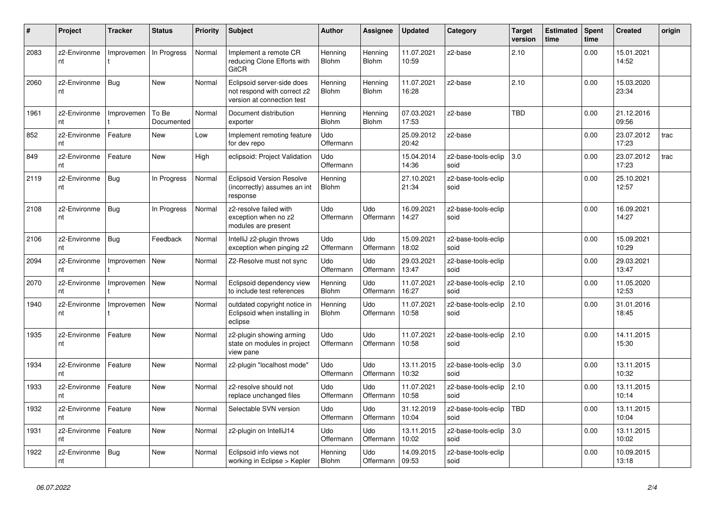| $\#$ | Project            | <b>Tracker</b> | <b>Status</b>       | <b>Priority</b> | <b>Subject</b>                                                                          | <b>Author</b>           | <b>Assignee</b>         | <b>Updated</b>      | Category                    | <b>Target</b><br>version | <b>Estimated</b><br>time | <b>Spent</b><br>time | <b>Created</b>      | origin |
|------|--------------------|----------------|---------------------|-----------------|-----------------------------------------------------------------------------------------|-------------------------|-------------------------|---------------------|-----------------------------|--------------------------|--------------------------|----------------------|---------------------|--------|
| 2083 | z2-Environme<br>nt | Improvemen     | In Progress         | Normal          | Implement a remote CR<br>reducing Clone Efforts with<br><b>GitCR</b>                    | Henning<br>Blohm        | Henning<br><b>Blohm</b> | 11.07.2021<br>10:59 | z2-base                     | 2.10                     |                          | 0.00                 | 15.01.2021<br>14:52 |        |
| 2060 | z2-Environme<br>nt | Bug            | <b>New</b>          | Normal          | Eclipsoid server-side does<br>not respond with correct z2<br>version at connection test | Hennina<br>Blohm        | Henning<br><b>Blohm</b> | 11.07.2021<br>16:28 | z2-base                     | 2.10                     |                          | 0.00                 | 15.03.2020<br>23:34 |        |
| 1961 | z2-Environme<br>nt | Improvemen     | To Be<br>Documented | Normal          | Document distribution<br>exporter                                                       | Henning<br><b>Blohm</b> | Henning<br><b>Blohm</b> | 07.03.2021<br>17:53 | z2-base                     | <b>TBD</b>               |                          | 0.00                 | 21.12.2016<br>09:56 |        |
| 852  | z2-Environme<br>nt | Feature        | <b>New</b>          | Low             | Implement remoting feature<br>for dev repo                                              | Udo<br>Offermann        |                         | 25.09.2012<br>20:42 | z2-base                     |                          |                          | 0.00                 | 23.07.2012<br>17:23 | trac   |
| 849  | z2-Environme<br>nt | Feature        | <b>New</b>          | High            | eclipsoid: Project Validation                                                           | Udo<br>Offermann        |                         | 15.04.2014<br>14:36 | z2-base-tools-eclip<br>soid | 3.0                      |                          | 0.00                 | 23.07.2012<br>17:23 | trac   |
| 2119 | z2-Environme<br>nt | Bug            | In Progress         | Normal          | <b>Eclipsoid Version Resolve</b><br>(incorrectly) assumes an int<br>response            | Henning<br><b>Blohm</b> |                         | 27.10.2021<br>21:34 | z2-base-tools-eclip<br>soid |                          |                          | 0.00                 | 25.10.2021<br>12:57 |        |
| 2108 | z2-Environme<br>nt | Bug            | In Progress         | Normal          | z2-resolve failed with<br>exception when no z2<br>modules are present                   | Udo<br>Offermann        | Udo<br>Offermann        | 16.09.2021<br>14:27 | z2-base-tools-eclip<br>soid |                          |                          | 0.00                 | 16.09.2021<br>14:27 |        |
| 2106 | z2-Environme<br>nt | Bug            | Feedback            | Normal          | IntelliJ z2-plugin throws<br>exception when pinging z2                                  | Udo<br>Offermann        | Udo<br>Offermann        | 15.09.2021<br>18:02 | z2-base-tools-eclip<br>soid |                          |                          | 0.00                 | 15.09.2021<br>10:29 |        |
| 2094 | z2-Environme<br>nt | Improvemen     | <b>New</b>          | Normal          | Z2-Resolve must not sync                                                                | Udo<br>Offermann        | Udo<br>Offermann        | 29.03.2021<br>13:47 | z2-base-tools-eclip<br>soid |                          |                          | 0.00                 | 29.03.2021<br>13:47 |        |
| 2070 | z2-Environme<br>nt | Improvemen     | <b>New</b>          | Normal          | Eclipsoid dependency view<br>to include test references                                 | Henning<br><b>Blohm</b> | Udo<br>Offermann        | 11.07.2021<br>16:27 | z2-base-tools-eclip<br>soid | 2.10                     |                          | 0.00                 | 11.05.2020<br>12:53 |        |
| 1940 | z2-Environme<br>nt | Improvemen     | <b>New</b>          | Normal          | outdated copyright notice in<br>Eclipsoid when installing in<br>eclipse                 | Henning<br><b>Blohm</b> | Udo<br>Offermann        | 11.07.2021<br>10:58 | z2-base-tools-eclip<br>soid | 2.10                     |                          | 0.00                 | 31.01.2016<br>18:45 |        |
| 1935 | z2-Environme<br>nt | Feature        | <b>New</b>          | Normal          | z2-plugin showing arming<br>state on modules in project<br>view pane                    | Udo<br>Offermann        | Udo<br>Offermann        | 11.07.2021<br>10:58 | z2-base-tools-eclip<br>soid | 2.10                     |                          | 0.00                 | 14.11.2015<br>15:30 |        |
| 1934 | z2-Environme<br>nt | Feature        | <b>New</b>          | Normal          | z2-plugin "localhost mode"                                                              | Udo<br>Offermann        | Udo<br>Offermann        | 13.11.2015<br>10:32 | z2-base-tools-eclip<br>soid | 3.0                      |                          | 0.00                 | 13.11.2015<br>10:32 |        |
| 1933 | z2-Environme<br>nt | Feature        | <b>New</b>          | Normal          | z2-resolve should not<br>replace unchanged files                                        | Udo<br>Offermann        | Udo<br>Offermann        | 11.07.2021<br>10:58 | z2-base-tools-eclip<br>soid | 2.10                     |                          | 0.00                 | 13.11.2015<br>10:14 |        |
| 1932 | z2-Environme<br>nt | Feature        | <b>New</b>          | Normal          | Selectable SVN version                                                                  | <b>Udo</b><br>Offermann | Udo<br>Offermann        | 31.12.2019<br>10:04 | z2-base-tools-eclip<br>soid | <b>TBD</b>               |                          | 0.00                 | 13.11.2015<br>10:04 |        |
| 1931 | z2-Environme<br>nt | Feature        | <b>New</b>          | Normal          | z2-plugin on IntelliJ14                                                                 | Udo<br>Offermann        | Udo<br>Offermann        | 13.11.2015<br>10:02 | z2-base-tools-eclip<br>soid | 3.0                      |                          | 0.00                 | 13.11.2015<br>10:02 |        |
| 1922 | z2-Environme<br>nt | Bug            | <b>New</b>          | Normal          | Eclipsoid info views not<br>working in Eclipse > Kepler                                 | Henning<br>Blohm        | Udo<br>Offermann        | 14.09.2015<br>09:53 | z2-base-tools-eclip<br>soid |                          |                          | 0.00                 | 10.09.2015<br>13:18 |        |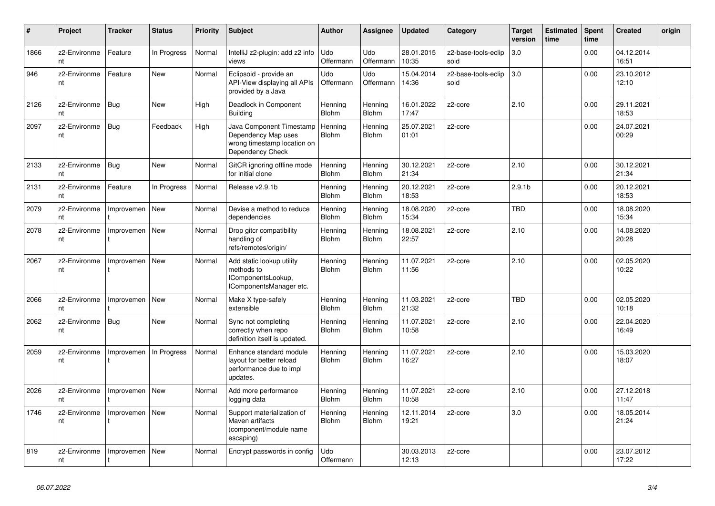| #    | Project            | <b>Tracker</b> | <b>Status</b> | <b>Priority</b> | <b>Subject</b>                                                                                     | <b>Author</b>           | Assignee                | <b>Updated</b>      | Category                    | <b>Target</b><br>version | <b>Estimated</b><br>time | Spent<br>time | <b>Created</b>      | origin |
|------|--------------------|----------------|---------------|-----------------|----------------------------------------------------------------------------------------------------|-------------------------|-------------------------|---------------------|-----------------------------|--------------------------|--------------------------|---------------|---------------------|--------|
| 1866 | z2-Environme<br>nt | Feature        | In Progress   | Normal          | IntelliJ z2-plugin: add z2 info<br>views                                                           | <b>Udo</b><br>Offermann | Udo<br>Offermann        | 28.01.2015<br>10:35 | z2-base-tools-eclip<br>soid | 3.0                      |                          | 0.00          | 04.12.2014<br>16:51 |        |
| 946  | z2-Environme<br>nt | Feature        | <b>New</b>    | Normal          | Eclipsoid - provide an<br>API-View displaying all APIs<br>provided by a Java                       | Udo<br>Offermann        | Udo<br>Offermann        | 15.04.2014<br>14:36 | z2-base-tools-eclip<br>soid | 3.0                      |                          | 0.00          | 23.10.2012<br>12:10 |        |
| 2126 | z2-Environme<br>nt | Bug            | <b>New</b>    | High            | Deadlock in Component<br><b>Building</b>                                                           | Henning<br><b>Blohm</b> | Henning<br><b>Blohm</b> | 16.01.2022<br>17:47 | z2-core                     | 2.10                     |                          | 0.00          | 29.11.2021<br>18:53 |        |
| 2097 | z2-Environme<br>nt | Bug            | Feedback      | High            | Java Component Timestamp<br>Dependency Map uses<br>wrong timestamp location on<br>Dependency Check | Henning<br><b>Blohm</b> | Henning<br><b>Blohm</b> | 25.07.2021<br>01:01 | z2-core                     |                          |                          | 0.00          | 24.07.2021<br>00:29 |        |
| 2133 | z2-Environme<br>nt | <b>Bug</b>     | <b>New</b>    | Normal          | GitCR ignoring offline mode<br>for initial clone                                                   | Henning<br><b>Blohm</b> | Henning<br><b>Blohm</b> | 30.12.2021<br>21:34 | z2-core                     | 2.10                     |                          | 0.00          | 30.12.2021<br>21:34 |        |
| 2131 | z2-Environme<br>nt | Feature        | In Progress   | Normal          | Release v2.9.1b                                                                                    | Henning<br><b>Blohm</b> | Henning<br><b>Blohm</b> | 20.12.2021<br>18:53 | z2-core                     | 2.9.1 <sub>b</sub>       |                          | 0.00          | 20.12.2021<br>18:53 |        |
| 2079 | z2-Environme<br>nt | Improvemen     | <b>New</b>    | Normal          | Devise a method to reduce<br>dependencies                                                          | Henning<br>Blohm        | Henning<br>Blohm        | 18.08.2020<br>15:34 | z2-core                     | <b>TBD</b>               |                          | 0.00          | 18.08.2020<br>15:34 |        |
| 2078 | z2-Environme<br>nt | Improvemen     | <b>New</b>    | Normal          | Drop gitcr compatibility<br>handling of<br>refs/remotes/origin/                                    | Henning<br>Blohm        | Henning<br><b>Blohm</b> | 18.08.2021<br>22:57 | z2-core                     | 2.10                     |                          | 0.00          | 14.08.2020<br>20:28 |        |
| 2067 | z2-Environme<br>nt | Improvemen     | <b>New</b>    | Normal          | Add static lookup utility<br>methods to<br>IComponentsLookup,<br>IComponentsManager etc.           | Henning<br>Blohm        | Henning<br><b>Blohm</b> | 11.07.2021<br>11:56 | z2-core                     | 2.10                     |                          | 0.00          | 02.05.2020<br>10:22 |        |
| 2066 | z2-Environme<br>nt | Improvemen     | <b>New</b>    | Normal          | Make X type-safely<br>extensible                                                                   | Henning<br><b>Blohm</b> | Henning<br><b>Blohm</b> | 11.03.2021<br>21:32 | z2-core                     | <b>TBD</b>               |                          | 0.00          | 02.05.2020<br>10:18 |        |
| 2062 | z2-Environme<br>nt | Bug            | <b>New</b>    | Normal          | Sync not completing<br>correctly when repo<br>definition itself is updated.                        | Henning<br>Blohm        | Henning<br><b>Blohm</b> | 11.07.2021<br>10:58 | z2-core                     | 2.10                     |                          | 0.00          | 22.04.2020<br>16:49 |        |
| 2059 | z2-Environme<br>nt | Improvemen     | In Progress   | Normal          | Enhance standard module<br>layout for better reload<br>performance due to impl<br>updates.         | Henning<br><b>Blohm</b> | Henning<br><b>Blohm</b> | 11.07.2021<br>16:27 | z2-core                     | 2.10                     |                          | 0.00          | 15.03.2020<br>18:07 |        |
| 2026 | z2-Environme<br>nt | Improvemen     | <b>New</b>    | Normal          | Add more performance<br>logging data                                                               | Henning<br><b>Blohm</b> | Henning<br><b>Blohm</b> | 11.07.2021<br>10:58 | z2-core                     | 2.10                     |                          | 0.00          | 27.12.2018<br>11:47 |        |
| 1746 | z2-Environme<br>nt | Improvemen     | <b>New</b>    | Normal          | Support materialization of<br>Maven artifacts<br>(component/module name<br>escaping)               | Henning<br>Blohm        | Henning<br><b>Blohm</b> | 12.11.2014<br>19:21 | z2-core                     | 3.0                      |                          | 0.00          | 18.05.2014<br>21:24 |        |
| 819  | z2-Environme<br>nt | Improvemen     | <b>New</b>    | Normal          | Encrypt passwords in config                                                                        | Udo<br>Offermann        |                         | 30.03.2013<br>12:13 | z2-core                     |                          |                          | 0.00          | 23.07.2012<br>17:22 |        |